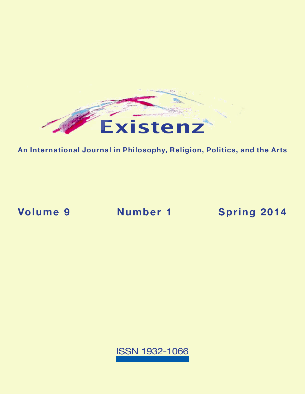

**An International Journal in Philosophy, Religion, Politics, and the Arts**

**Volume 9 Number 1 [Spring 2014](https://existenz.us/volume9No1.html)**

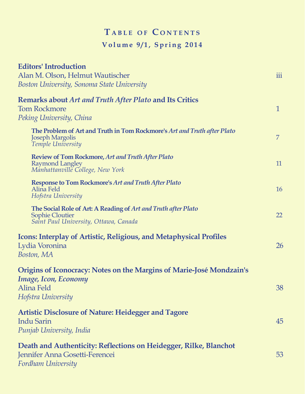## $T$  **a** BLE OF CONTENTS **Volume 9/1, Spring 2014**

| <b>Editors' Introduction</b>                                                                                            |              |
|-------------------------------------------------------------------------------------------------------------------------|--------------|
| Alan M. Olson, Helmut Wautischer                                                                                        | iii          |
| Boston University, Sonoma State University                                                                              |              |
| <b>Remarks about Art and Truth After Plato and Its Critics</b>                                                          |              |
| <b>Tom Rockmore</b>                                                                                                     | $\mathbf{1}$ |
| Peking University, China                                                                                                |              |
| The Problem of Art and Truth in Tom Rockmore's Art and Truth after Plato<br><b>Joseph Margolis</b><br>Temple University | 7            |
| <b>Review of Tom Rockmore, Art and Truth After Plato</b>                                                                |              |
| Raymond Langley                                                                                                         | 11           |
| Manhattanville College, New York                                                                                        |              |
| <b>Response to Tom Rockmore's Art and Truth After Plato</b><br>Alina Feld                                               | 16           |
| Hofstra University                                                                                                      |              |
| The Social Role of Art: A Reading of Art and Truth after Plato                                                          |              |
| Sophie Cloutier<br>Saint Paul University, Ottawa, Canada                                                                | 22           |
| <b>Icons: Interplay of Artistic, Religious, and Metaphysical Profiles</b>                                               |              |
| Lydia Voronina                                                                                                          | 26           |
| Boston, MA                                                                                                              |              |
| Origins of Iconocracy: Notes on the Margins of Marie-José Mondzain's                                                    |              |
| <b>Image, Icon, Economy</b>                                                                                             |              |
| Alina Feld                                                                                                              | 38           |
| Hofstra University                                                                                                      |              |
| <b>Artistic Disclosure of Nature: Heidegger and Tagore</b>                                                              |              |
| <b>Indu Sarin</b>                                                                                                       | 45           |
| Punjab University, India                                                                                                |              |
| Death and Authenticity: Reflections on Heidegger, Rilke, Blanchot                                                       |              |
| Jennifer Anna Gosetti-Ferencei                                                                                          | 53           |
| Fordham University                                                                                                      |              |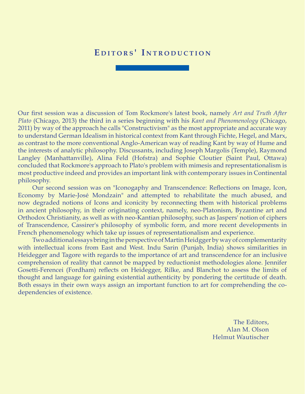## EDITORS' INTRODUCTION

Our first session was a discussion of Tom Rockmore's latest book, namely *Art and Truth After Plato* (Chicago, 2013) the third in a series beginning with his *Kant and Phenomenology* (Chicago, 2011) by way of the approach he calls "Constructivism" as the most appropriate and accurate way to understand German Idealism in historical context from Kant through Fichte, Hegel, and Marx, as contrast to the more conventional Anglo-American way of reading Kant by way of Hume and the interests of analytic philosophy. Discussants, including Joseph Margolis (Temple), Raymond Langley (Manhattanville), Alina Feld (Hofstra) and Sophie Cloutier (Saint Paul, Ottawa) concluded that Rockmore's approach to Plato's problem with mimesis and representationalism is most productive indeed and provides an important link with contemporary issues in Continental philosophy.

Our second session was on "Iconogaphy and Transcendence: Reflections on Image, Icon, Economy by Marie-José Mondzain" and attempted to rehabilitate the much abused, and now degraded notions of Icons and iconicity by reconnecting them with historical problems in ancient philosophy, in their originating context, namely, neo-Platonism, Byzantine art and Orthodox Christianity, as well as with neo-Kantian philosophy, such as Jaspers' notion of ciphers of Transcendence, Cassirer's philosophy of symbolic form, and more recent developments in French phenomenology which take up issues of representationalism and experience.

Two additional essays bring in the perspective of Martin Heidgger by way of complementarity with intellectual icons from East and West. Indu Sarin (Punjab, India) shows similarities in Heidegger and Tagore with regards to the importance of art and transcendence for an inclusive comprehension of reality that cannot be mapped by reductionist methodologies alone. Jennifer Gosetti-Ferencei (Fordham) reflects on Heidegger, Rilke, and Blanchot to assess the limits of thought and language for gaining existential authenticity by pondering the certitude of death. Both essays in their own ways assign an important function to art for comprehending the codependencies of existence.

> The Editors, Alan M. Olson Helmut Wautischer